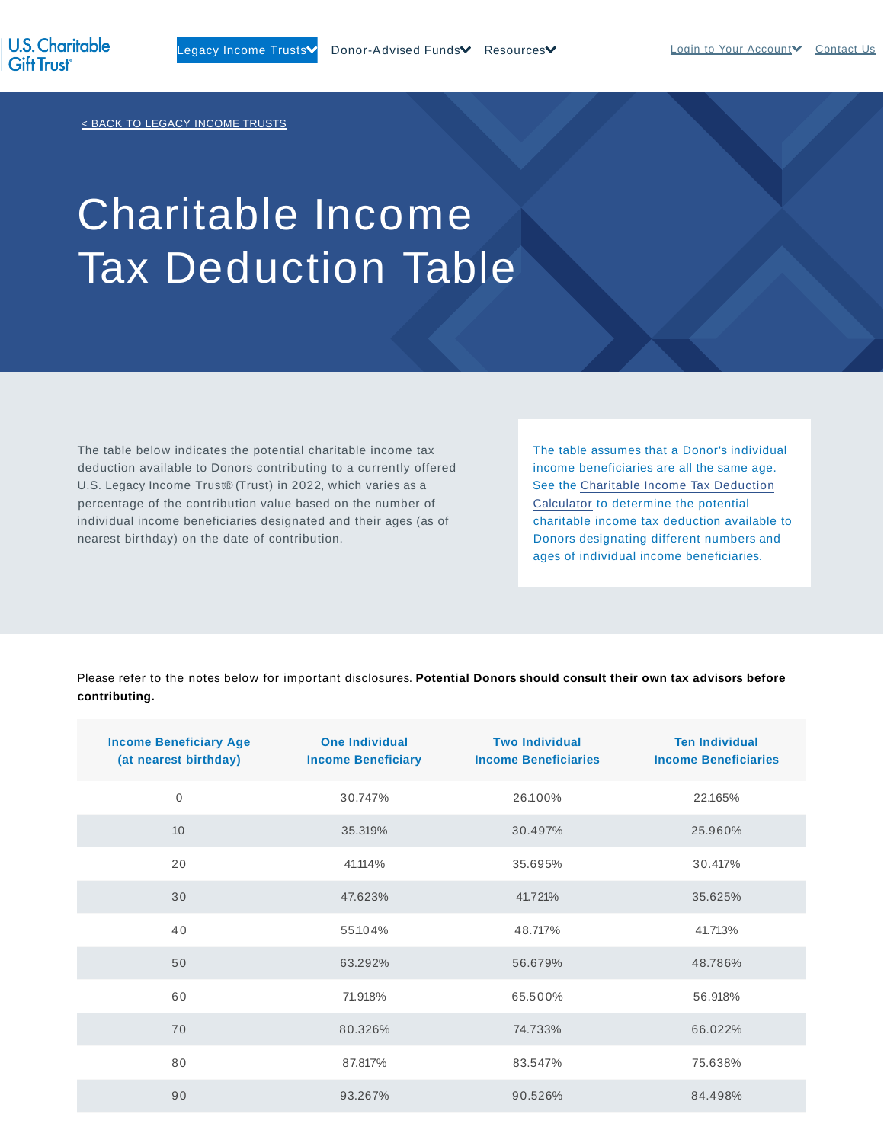< BACK TO LEGACY INCOME TRUSTS

# Charitable Income Tax Deduction Table

The table below indicates the potential charitable income tax deduction available to Donors contributing to a currently offered U.S. Legacy Income Trust® (Trust) in 2022, which varies as a percentage of the contribution value based on the number of individual income beneficiaries designated and their ages (as of nearest birthday) on the date of contribution.

The table assumes that a Donor's individual income beneficiaries are all the same age. See the Charitable Income Tax Deduction Calculator to determine the potential charitable income tax deduction available to Donors designating different numbers and ages of individual income beneficiaries.

Please refer to the notes below for important disclosures. **Potential Donors should consult their own tax advisors before contributing.**

| <b>Income Beneficiary Age</b><br>(at nearest birthday) | <b>One Individual</b><br><b>Income Beneficiary</b> | <b>Two Individual</b><br><b>Income Beneficiaries</b> | <b>Ten Individual</b><br><b>Income Beneficiaries</b> |
|--------------------------------------------------------|----------------------------------------------------|------------------------------------------------------|------------------------------------------------------|
| $\mathbf 0$                                            | 30.747%                                            | 26.100%                                              | 22.165%                                              |
| 10                                                     | 35.319%                                            | 30.497%                                              | 25.960%                                              |
| 20                                                     | 41.114%                                            | 35.695%                                              | 30.417%                                              |
| 30                                                     | 47.623%                                            | 41.721%                                              | 35.625%                                              |
| 40                                                     | 55.104%                                            | 48.717%                                              | 41.713%                                              |
| 50                                                     | 63.292%                                            | 56.679%                                              | 48.786%                                              |
| 60                                                     | 71.918%                                            | 65.500%                                              | 56.918%                                              |
| 70                                                     | 80.326%                                            | 74.733%                                              | 66.022%                                              |
| 80                                                     | 87.817%                                            | 83.547%                                              | 75.638%                                              |
| 90                                                     | 93.267%                                            | 90.526%                                              | 84.498%                                              |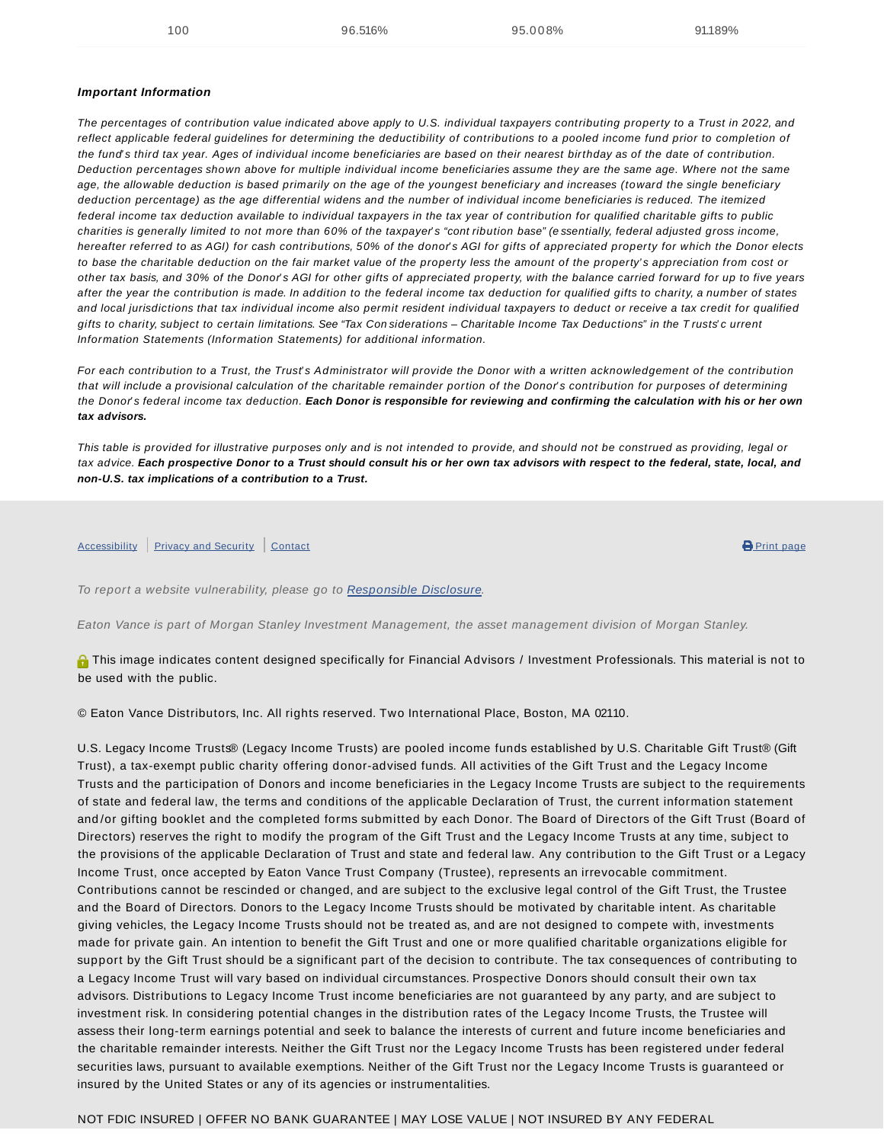#### **Important Information**

The percentages of contribution value indicated above apply to U.S. individual taxpayers contributing property to a Trust in 2022, and reflect applicable federal guidelines for determining the deductibility of contributions to a pooled income fund prior to completion of the fund's third tax year. Ages of individual income beneficiaries are based on their nearest birthday as of the date of contribution. Deduction percentages shown above for multiple individual income beneficiaries assume they are the same age. Where not the same age, the allowable deduction is based primarily on the age of the youngest beneficiary and increases (toward the single beneficiary deduction percentage) as the age differential widens and the number of individual income beneficiaries is reduced. The itemized federal income tax deduction available to individual taxpayers in the tax year of contribution for qualified charitable gifts to public charities is generally limited to not more than 60% of the taxpayer's "cont ribution base" (essentially, federal adjusted gross income, hereafter referred to as AGI) for cash contributions, 50% of the donor's AGI for gifts of appreciated property for which the Donor elects to base the charitable deduction on the fair market value of the property less the amount of the property' s appreciation from cost or other tax basis, and 30% of the Donor's AGI for other gifts of appreciated property, with the balance carried forward for up to five years after the year the contribution is made. In addition to the federal income tax deduction for qualified gifts to charity, a number of states and local jurisdictions that tax individual income also permit resident individual taxpayers to deduct or receive a tax credit for qualified gifts to charity, subject to certain limitations. See "Tax Con siderations - Charitable Income Tax Deductions" in the T rusts' current Information Statements (Information Statements) for additional information.

For each contribution to a Trust, the Trust's Administrator will provide the Donor with a written acknowledgement of the contribution that will include a provisional calculation of the charitable remainder portion of the Donor' s contribution for purposes of determining the Donor' s federal income tax deduction. **Each Donor is responsible for reviewing and confirming the calculation with his or her own tax advisors.**

This table is provided for illustrative purposes only and is not intended to provide, and should not be construed as providing, legal or tax advice. **Each prospective Donor to a Trust should consult his or her own tax advisors with respect to the federal, state, local, and non-U.S. tax implications of a contribution to a Trust.**

#### Accessibility Privacy and Security Contact **Contact Contact Contact Contact Contact Contact Contact Contact Contact**

To report a website vulnerability, please go to Responsible Disclosure.

Eaton Vance is part of Morgan Stanley Investment Management, the asset management division of Morgan Stanley.

**O** This image indicates content designed specifically for Financial Advisors / Investment Professionals. This material is not to be used with the public.

© Eaton Vance Distributors, Inc. All rights reserved. Two International Place, Boston, MA 02110.

U.S. Legacy Income Trusts® (Legacy Income Trusts) are pooled income funds established by U.S. Charitable Gift Trust® (Gift Trust), a tax-exempt public charity offering donor-advised funds. All activities of the Gift Trust and the Legacy Income Trusts and the participation of Donors and income beneficiaries in the Legacy Income Trusts are subject to the requirements of state and federal law, the terms and conditions of the applicable Declaration of Trust, the current information statement and /or gifting booklet and the completed forms submitted by each Donor. The Board of Directors of the Gift Trust (Board of Directors) reserves the right to modify the program of the Gift Trust and the Legacy Income Trusts at any time, subject to the provisions of the applicable Declaration of Trust and state and federal law. Any contribution to the Gift Trust or a Legacy Income Trust, once accepted by Eaton Vance Trust Company (Trustee), represents an irrevocable commitment. Contributions cannot be rescinded or changed, and are subject to the exclusive legal control of the Gift Trust, the Trustee and the Board of Directors. Donors to the Legacy Income Trusts should be motivated by charitable intent. As charitable giving vehicles, the Legacy Income Trusts should not be treated as, and are not designed to compete with, investments made for private gain. An intention to benefit the Gift Trust and one or more qualified charitable organizations eligible for support by the Gift Trust should be a significant part of the decision to contribute. The tax consequences of contributing to a Legacy Income Trust will vary based on individual circumstances. Prospective Donors should consult their own tax advisors. Distributions to Legacy Income Trust income beneficiaries are not guaranteed by any party, and are subject to investment risk. In considering potential changes in the distribution rates of the Legacy Income Trusts, the Trustee will assess their long-term earnings potential and seek to balance the interests of current and future income beneficiaries and the charitable remainder interests. Neither the Gift Trust nor the Legacy Income Trusts has been registered under federal securities laws, pursuant to available exemptions. Neither of the Gift Trust nor the Legacy Income Trusts is guaranteed or insured by the United States or any of its agencies or instrumentalities.